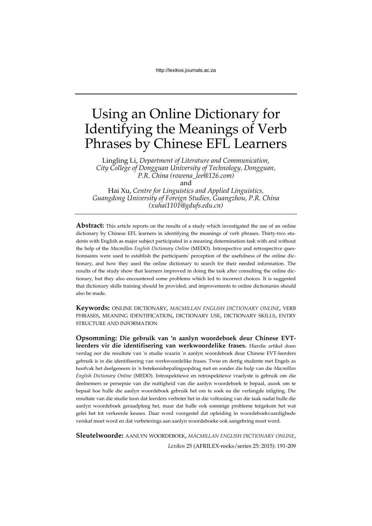# Using an Online Dictionary for Identifying the Meanings of Verb Phrases by Chinese EFL Learners

Lingling Li, *Department of Literature and Communication, City College of Dongguan University of Technology, Dongguan, P.R. China (rowena\_lee@126.com)*  and

Hai Xu, *Centre for Linguistics and Applied Linguistics, Guangdong University of Foreign Studies, Guangzhou, P.R. China (xuhai1101@gdufs.edu.cn)*

**Abstract:** This article reports on the results of a study which investigated the use of an online dictionary by Chinese EFL learners in identifying the meanings of verb phrases. Thirty-two students with English as major subject participated in a meaning determination task with and without the help of the *Macmillan English Dictionary Online* (MEDO). Introspective and retrospective questionnaires were used to establish the participants' perception of the usefulness of the online dictionary, and how they used the online dictionary to search for their needed information. The results of the study show that learners improved in doing the task after consulting the online dictionary, but they also encountered some problems which led to incorrect choices. It is suggested that dictionary skills training should be provided, and improvements to online dictionaries should also be made.

**Keywords:** ONLINE DICTIONARY, *MACMILLAN ENGLISH DICTIONARY ONLINE*, VERB PHRASES, MEANING IDENTIFICATION, DICTIONARY USE, DICTIONARY SKILLS, ENTRY STRUCTURE AND INFORMATION

**Opsomming: Die gebruik van 'n aanlyn woordeboek deur Chinese EVTleerders vir die identifisering van werkwoordelike frases.** Hierdie artikel doen verslag oor die resultate van 'n studie waarin 'n aanlyn woordeboek deur Chinese EVT-leerders gebruik is in die identifisering van werkwoordelike frases. Twee en dertig studente met Engels as hoofvak het deelgeneem in 'n betekenisbepalingsopdrag met en sonder die hulp van die *Macmillan English Dictionary Online* (MEDO). Introspektiewe en retrospektiewe vraelyste is gebruik om die deelnemers se persepsie van die nuttigheid van die aanlyn woordeboek te bepaal, asook om te bepaal hoe hulle die aanlyn woordeboek gebruik het om te soek na die verlangde inligting. Die resultate van die studie toon dat leerders verbeter het in die voltooiing van die taak nadat hulle die aanlyn woordeboek geraadpleeg het, maar dat hulle ook sommige probleme teëgekom het wat gelei het tot verkeerde keuses. Daar word voorgestel dat opleiding in woordeboekvaardighede verskaf moet word en dat verbeterings aan aanlyn woordeboeke ook aangebring moet word.

*Lexikos* 25 (AFRILEX-reeks/series 25: 2015): 191-209 **Sleutelwoorde:** AANLYN WOORDEBOEK, *MACMILLAN ENGLISH DICTIONARY ONLINE*,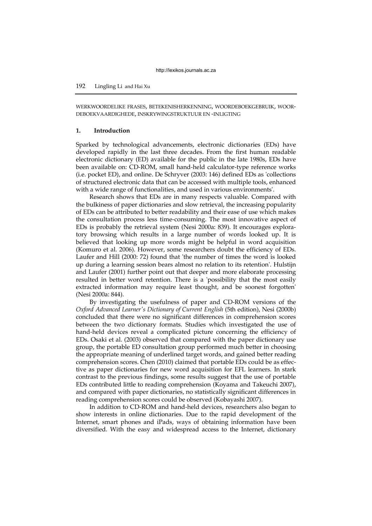WERKWOORDELIKE FRASES, BETEKENISHERKENNING, WOORDEBOEKGEBRUIK, WOOR-DEBOEKVAARDIGHEDE, INSKRYWINGSTRUKTUUR EN -INLIGTING

#### **1. Introduction**

Sparked by technological advancements, electronic dictionaries (EDs) have developed rapidly in the last three decades. From the first human readable electronic dictionary (ED) available for the public in the late 1980s, EDs have been available on: CD-ROM, small hand-held calculator-type reference works (i.e. pocket ED), and online. De Schryver (2003: 146) defined EDs as 'collections of structured electronic data that can be accessed with multiple tools, enhanced with a wide range of functionalities, and used in various environments'.

Research shows that EDs are in many respects valuable. Compared with the bulkiness of paper dictionaries and slow retrieval, the increasing popularity of EDs can be attributed to better readability and their ease of use which makes the consultation process less time-consuming. The most innovative aspect of EDs is probably the retrieval system (Nesi 2000a: 839). It encourages exploratory browsing which results in a large number of words looked up. It is believed that looking up more words might be helpful in word acquisition (Komuro et al. 2006). However, some researchers doubt the efficiency of EDs. Laufer and Hill (2000: 72) found that 'the number of times the word is looked up during a learning session bears almost no relation to its retention'. Hulstijn and Laufer (2001) further point out that deeper and more elaborate processing resulted in better word retention. There is a 'possibility that the most easily extracted information may require least thought, and be soonest forgotten' (Nesi 2000a: 844).

By investigating the usefulness of paper and CD-ROM versions of the *Oxford Advanced Learner's Dictionary of Current English* (5th edition), Nesi (2000b) concluded that there were no significant differences in comprehension scores between the two dictionary formats. Studies which investigated the use of hand-held devices reveal a complicated picture concerning the efficiency of EDs. Osaki et al. (2003) observed that compared with the paper dictionary use group, the portable ED consultation group performed much better in choosing the appropriate meaning of underlined target words, and gained better reading comprehension scores. Chen (2010) claimed that portable EDs could be as effective as paper dictionaries for new word acquisition for EFL learners. In stark contrast to the previous findings, some results suggest that the use of portable EDs contributed little to reading comprehension (Koyama and Takeuchi 2007), and compared with paper dictionaries, no statistically significant differences in reading comprehension scores could be observed (Kobayashi 2007).

In addition to CD-ROM and hand-held devices, researchers also began to show interests in online dictionaries. Due to the rapid development of the Internet, smart phones and iPads, ways of obtaining information have been diversified. With the easy and widespread access to the Internet, dictionary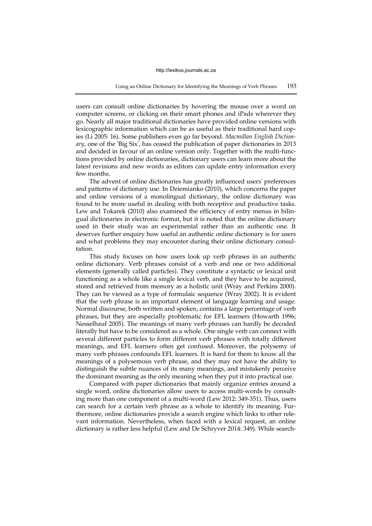users can consult online dictionaries by hovering the mouse over a word on computer screens, or clicking on their smart phones and iPads wherever they go. Nearly all major traditional dictionaries have provided online versions with lexicographic information which can be as useful as their traditional hard copies (Li 2005: 16). Some publishers even go far beyond. *Macmillan English Dictionary*, one of the 'Big Six', has ceased the publication of paper dictionaries in 2013 and decided in favour of an online version only. Together with the multi-functions provided by online dictionaries, dictionary users can learn more about the latest revisions and new words as editors can update entry information every few months.

The advent of online dictionaries has greatly influenced users' preferences and patterns of dictionary use. In Dziemianko (2010), which concerns the paper and online versions of a monolingual dictionary, the online dictionary was found to be more useful in dealing with both receptive and productive tasks. Lew and Tokarek (2010) also examined the efficiency of entry menus in bilingual dictionaries in electronic format, but it is noted that the online dictionary used in their study was an experimental rather than an authentic one. It deserves further enquiry how useful an authentic online dictionary is for users and what problems they may encounter during their online dictionary consultation.

This study focuses on how users look up verb phrases in an authentic online dictionary. Verb phrases consist of a verb and one or two additional elements (generally called particles). They constitute a syntactic or lexical unit functioning as a whole like a single lexical verb, and they have to be acquired, stored and retrieved from memory as a holistic unit [\(Wray and Perkins 2000\)](#page-16-0). They can be viewed as a type of formulaic sequence (Wray 2002). It is evident that the verb phrase is an important element of language learning and usage. Normal discourse, both written and spoken, contains a large percentage of verb phrases, but they are especially problematic for EFL learners (Howarth 1996; Nesselhauf 2005). The meanings of many verb phrases can hardly be decoded literally but have to be considered as a whole. One single verb can connect with several different particles to form different verb phrases with totally different meanings, and EFL learners often get confused. Moreover, the polysemy of many verb phrases confounds EFL learners. It is hard for them to know all the meanings of a polysemous verb phrase, and they may not have the ability to distinguish the subtle nuances of its many meanings, and mistakenly perceive the dominant meaning as the only meaning when they put it into practical use.

Compared with paper dictionaries that mainly organize entries around a single word, online dictionaries allow users to access multi-words by consulting more than one component of a multi-word [\(Lew 2012:](#page-15-0) 349-351). Thus, users can search for a certain verb phrase as a whole to identify its meaning. Furthermore, online dictionaries provide a search engine which links to other relevant information. Nevertheless, when faced with a lexical request, an online dictionary is rather less helpful [\(Lew and De Schryver 2014:](#page-15-1) 349). While search-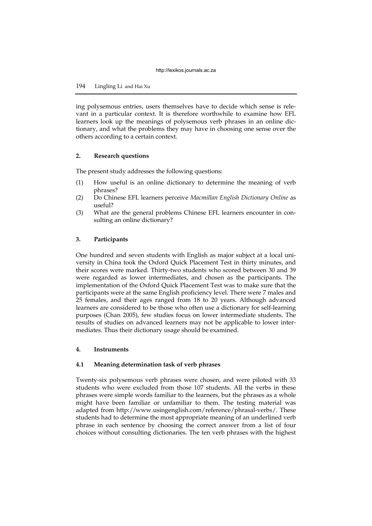ing polysemous entries, users themselves have to decide which sense is relevant in a particular context. It is therefore worthwhile to examine how EFL learners look up the meanings of polysemous verb phrases in an online dictionary, and what the problems they may have in choosing one sense over the others according to a certain context.

## **2. Research questions**

The present study addresses the following questions:

- (1) How useful is an online dictionary to determine the meaning of verb phrases?
- (2) Do Chinese EFL learners perceive *Macmillan English Dictionary Online* as useful?
- (3) What are the general problems Chinese EFL learners encounter in consulting an online dictionary?

## **3. Participants**

One hundred and seven students with English as major subject at a local university in China took the Oxford Quick Placement Test in thirty minutes, and their scores were marked. Thirty-two students who scored between 30 and 39 were regarded as lower intermediates, and chosen as the participants. The implementation of the Oxford Quick Placement Test was to make sure that the participants were at the same English proficiency level. There were 7 males and 25 females, and their ages ranged from 18 to 20 years. Although advanced learners are considered to be those who often use a dictionary for self-learning purposes (Chan 2005), few studies focus on lower intermediate students. The results of studies on advanced learners may not be applicable to lower intermediates. Thus their dictionary usage should be examined.

## **4. Instruments**

## **4.1 Meaning determination task of verb phrases**

Twenty-six polysemous verb phrases were chosen, and were piloted with 33 students who were excluded from those 107 students. All the verbs in these phrases were simple words familiar to the learners, but the phrases as a whole might have been familiar or unfamiliar to them. The testing material was adapted from http://www.usingenglish.com/reference/phrasal-verbs/. These students had to determine the most appropriate meaning of an underlined verb phrase in each sentence by choosing the correct answer from a list of four choices without consulting dictionaries. The ten verb phrases with the highest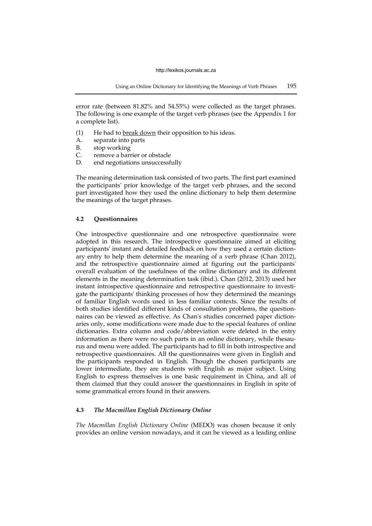error rate (between 81.82% and 54.55%) were collected as the target phrases. The following is one example of the target verb phrases (see the Appendix 1 for a complete list).

- (1) He had to break down their opposition to his ideas.
- A. separate into parts
- B. stop working
- C. remove a barrier or obstacle
- D. end negotiations unsuccessfully

The meaning determination task consisted of two parts. The first part examined the participants' prior knowledge of the target verb phrases, and the second part investigated how they used the online dictionary to help them determine the meanings of the target phrases.

## **4.2 Questionnaires**

One introspective questionnaire and one retrospective questionnaire were adopted in this research. The introspective questionnaire aimed at eliciting participants' instant and detailed feedback on how they used a certain dictionary entry to help them determine the meaning of a verb phrase (Chan 2012), and the retrospective questionnaire aimed at figuring out the participants' overall evaluation of the usefulness of the online dictionary and its different elements in the meaning determination task (ibid.). Chan (2012, 2013) used her instant introspective questionnaire and retrospective questionnaire to investigate the participants' thinking processes of how they determined the meanings of familiar English words used in less familiar contexts. Since the results of both studies identified different kinds of consultation problems, the questionnaires can be viewed as effective. As Chan's studies concerned paper dictionaries only, some modifications were made due to the special features of online dictionaries. Extra column and code/abbreviation were deleted in the entry information as there were no such parts in an online dictionary, while thesaurus and menu were added. The participants had to fill in both introspective and retrospective questionnaires. All the questionnaires were given in English and the participants responded in English. Though the chosen participants are lower intermediate, they are students with English as major subject. Using English to express themselves is one basic requirement in China, and all of them claimed that they could answer the questionnaires in English in spite of some grammatical errors found in their answers.

## **4.3** *The Macmillan English Dictionary Online*

*The Macmillan English Dictionary Online* (MEDO) was chosen because it only provides an online version nowadays, and it can be viewed as a leading online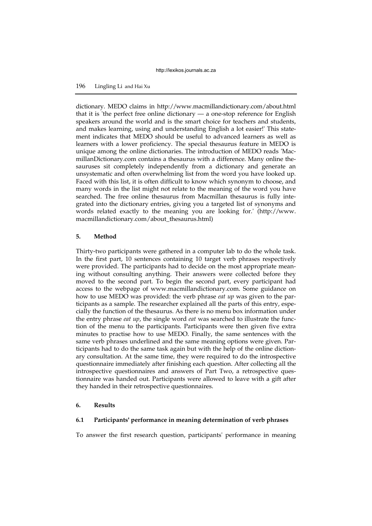# 196 Lingling Li and Hai Xu

dictionary. MEDO claims in http://www.macmillandictionary.com/about.html that it is 'the perfect free online dictionary — a one-stop reference for English speakers around the world and is the smart choice for teachers and students, and makes learning, using and understanding English a lot easier!' This statement indicates that MEDO should be useful to advanced learners as well as learners with a lower proficiency. The special thesaurus feature in MEDO is unique among the online dictionaries. The introduction of MEDO reads 'MacmillanDictionary.com contains a thesaurus with a difference. Many online thesauruses sit completely independently from a dictionary and generate an unsystematic and often overwhelming list from the word you have looked up. Faced with this list, it is often difficult to know which synonym to choose, and many words in the list might not relate to the meaning of the word you have searched. The free online thesaurus from Macmillan thesaurus is fully integrated into the dictionary entries, giving you a targeted list of synonyms and words related exactly to the meaning you are looking for.' (http://www. macmillandictionary.com/about\_thesaurus.html)

## **5. Method**

Thirty-two participants were gathered in a computer lab to do the whole task. In the first part, 10 sentences containing 10 target verb phrases respectively were provided. The participants had to decide on the most appropriate meaning without consulting anything. Their answers were collected before they moved to the second part. To begin the second part, every participant had access to the webpage of www.macmillandictionary.com. Some guidance on how to use MEDO was provided: the verb phrase *eat up* was given to the participants as a sample. The researcher explained all the parts of this entry, especially the function of the thesaurus. As there is no menu box information under the entry phrase *eat up*, the single word *eat* was searched to illustrate the function of the menu to the participants. Participants were then given five extra minutes to practise how to use MEDO. Finally, the same sentences with the same verb phrases underlined and the same meaning options were given. Participants had to do the same task again but with the help of the online dictionary consultation. At the same time, they were required to do the introspective questionnaire immediately after finishing each question. After collecting all the introspective questionnaires and answers of Part Two, a retrospective questionnaire was handed out. Participants were allowed to leave with a gift after they handed in their retrospective questionnaires.

## **6. Results**

## **6.1 Participants' performance in meaning determination of verb phrases**

To answer the first research question, participants' performance in meaning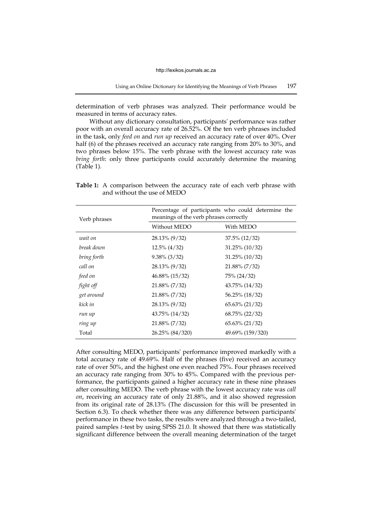determination of verb phrases was analyzed. Their performance would be measured in terms of accuracy rates.

Without any dictionary consultation, participants' performance was rather poor with an overall accuracy rate of 26.52%. Of the ten verb phrases included in the task, only *feed on* and *run up* received an accuracy rate of over 40%. Over half (6) of the phrases received an accuracy rate ranging from 20% to 30%, and two phrases below 15%. The verb phrase with the lowest accuracy rate was *bring forth*: only three participants could accurately determine the meaning (Table 1).

| Verb phrases | Percentage of participants who could determine the<br>meanings of the verb phrases correctly |                   |  |
|--------------|----------------------------------------------------------------------------------------------|-------------------|--|
|              | Without MEDO                                                                                 | With MEDO         |  |
| wait on      | 28.13% (9/32)                                                                                | $37.5\%$ (12/32)  |  |
| break down   | $12.5\%$ (4/32)                                                                              | $31.25\%$ (10/32) |  |
| bring forth  | $9.38\%$ (3/32)                                                                              | $31.25\%$ (10/32) |  |
| call on      | 28.13% (9/32)                                                                                | $21.88\% (7/32)$  |  |
| feed on      | 46.88% (15/32)                                                                               | 75% (24/32)       |  |
| fight off    | 21.88% (7/32)                                                                                | 43.75% (14/32)    |  |
| get around   | 21.88% (7/32)                                                                                | 56.25% (18/32)    |  |
| kick in      | 28.13% (9/32)                                                                                | $65.63\%$ (21/32) |  |
| run up       | $43.75\%$ $(14/32)$                                                                          | 68.75% (22/32)    |  |
| ring up      | 21.88% (7/32)                                                                                | $65.63\%$ (21/32) |  |
| Total        | 26.25% (84/320)                                                                              | 49.69% (159/320)  |  |

**Table 1:** A comparison between the accuracy rate of each verb phrase with and without the use of MEDO

After consulting MEDO, participants' performance improved markedly with a total accuracy rate of 49.69%. Half of the phrases (five) received an accuracy rate of over 50%, and the highest one even reached 75%. Four phrases received an accuracy rate ranging from 30% to 45%. Compared with the previous performance, the participants gained a higher accuracy rate in these nine phrases after consulting MEDO. The verb phrase with the lowest accuracy rate was *call on*, receiving an accuracy rate of only 21.88%, and it also showed regression from its original rate of 28.13% (The discussion for this will be presented in Section 6.3). To check whether there was any difference between participants' performance in these two tasks, the results were analyzed through a two-tailed, paired samples *t*-test by using SPSS 21.0. It showed that there was statistically significant difference between the overall meaning determination of the target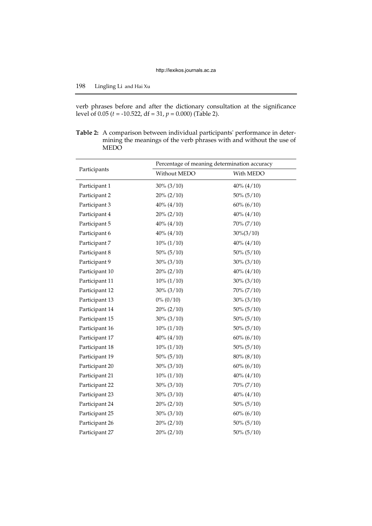verb phrases before and after the dictionary consultation at the significance level of 0.05 (*t* = -10.522, df = 31, *p* = 0.000) (Table 2).

**Table 2:** A comparison between individual participants' performance in determining the meanings of the verb phrases with and without the use of MEDO

|                | Percentage of meaning determination accuracy |               |  |  |
|----------------|----------------------------------------------|---------------|--|--|
| Participants   | Without MEDO                                 | With MEDO     |  |  |
| Participant 1  | $30\% (3/10)$                                | $40\% (4/10)$ |  |  |
| Participant 2  | $20\% (2/10)$                                | $50\% (5/10)$ |  |  |
| Participant 3  | $40\% (4/10)$                                | $60\% (6/10)$ |  |  |
| Participant 4  | $20\% (2/10)$                                | $40\% (4/10)$ |  |  |
| Participant 5  | $40\% (4/10)$                                | 70% (7/10)    |  |  |
| Participant 6  | $40\% (4/10)$                                | $30\%(3/10)$  |  |  |
| Participant 7  | $10\% (1/10)$                                | $40\% (4/10)$ |  |  |
| Participant 8  | $50\% (5/10)$                                | $50\% (5/10)$ |  |  |
| Participant 9  | $30\% (3/10)$                                | $30\% (3/10)$ |  |  |
| Participant 10 | $20\% (2/10)$                                | $40\% (4/10)$ |  |  |
| Participant 11 | $10\% (1/10)$                                | $30\% (3/10)$ |  |  |
| Participant 12 | $30\% (3/10)$                                | 70% (7/10)    |  |  |
| Participant 13 | $0\% (0/10)$                                 | $30\% (3/10)$ |  |  |
| Participant 14 | $20\% (2/10)$                                | $50\% (5/10)$ |  |  |
| Participant 15 | $30\% (3/10)$                                | $50\% (5/10)$ |  |  |
| Participant 16 | $10\% (1/10)$                                | $50\% (5/10)$ |  |  |
| Participant 17 | $40\% (4/10)$                                | $60\% (6/10)$ |  |  |
| Participant 18 | $10\% (1/10)$                                | $50\% (5/10)$ |  |  |
| Participant 19 | $50\% (5/10)$                                | 80% (8/10)    |  |  |
| Participant 20 | $30\% (3/10)$                                | $60\% (6/10)$ |  |  |
| Participant 21 | $10\% (1/10)$                                | $40\% (4/10)$ |  |  |
| Participant 22 | $30\% (3/10)$                                | $70\% (7/10)$ |  |  |
| Participant 23 | $30\% (3/10)$                                | $40\% (4/10)$ |  |  |
| Participant 24 | $20\% (2/10)$                                | $50\% (5/10)$ |  |  |
| Participant 25 | $30\% (3/10)$                                | $60\% (6/10)$ |  |  |
| Participant 26 | $20\% (2/10)$                                | $50\% (5/10)$ |  |  |
| Participant 27 | $20\% (2/10)$                                | $50\% (5/10)$ |  |  |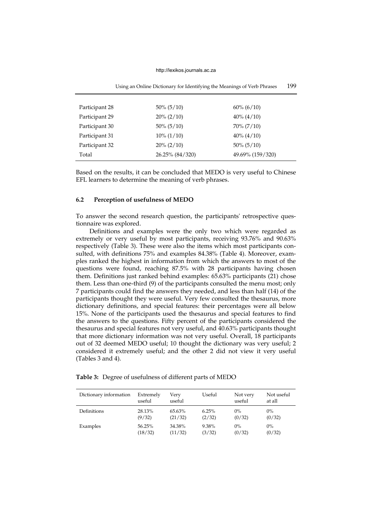| Using an Online Dictionary for Identifying the Meanings of Verb Phrases |                 |                  |  |
|-------------------------------------------------------------------------|-----------------|------------------|--|
|                                                                         |                 |                  |  |
| Participant 28                                                          | $50\% (5/10)$   | $60\% (6/10)$    |  |
| Participant 29                                                          | $20\% (2/10)$   | $40\% (4/10)$    |  |
| Participant 30                                                          | $50\% (5/10)$   | $70\% (7/10)$    |  |
| Participant 31                                                          | $10\% (1/10)$   | $40\% (4/10)$    |  |
| Participant 32                                                          | $20\% (2/10)$   | $50\% (5/10)$    |  |
| Total                                                                   | 26.25% (84/320) | 49.69% (159/320) |  |

Based on the results, it can be concluded that MEDO is very useful to Chinese EFL learners to determine the meaning of verb phrases.

## **6.2 Perception of usefulness of MEDO**

To answer the second research question, the participants' retrospective questionnaire was explored.

Definitions and examples were the only two which were regarded as extremely or very useful by most participants, receiving 93.76% and 90.63% respectively (Table 3). These were also the items which most participants consulted, with definitions 75% and examples 84.38% (Table 4). Moreover, examples ranked the highest in information from which the answers to most of the questions were found, reaching 87.5% with 28 participants having chosen them. Definitions just ranked behind examples: 65.63% participants (21) chose them. Less than one-third (9) of the participants consulted the menu most; only 7 participants could find the answers they needed, and less than half (14) of the participants thought they were useful. Very few consulted the thesaurus, more dictionary definitions, and special features: their percentages were all below 15%. None of the participants used the thesaurus and special features to find the answers to the questions. Fifty percent of the participants considered the thesaurus and special features not very useful, and 40.63% participants thought that more dictionary information was not very useful. Overall, 18 participants out of 32 deemed MEDO useful; 10 thought the dictionary was very useful; 2 considered it extremely useful; and the other 2 did not view it very useful (Tables 3 and 4).

|  |  |  |  | Table 3: Degree of usefulness of different parts of MEDO |
|--|--|--|--|----------------------------------------------------------|
|--|--|--|--|----------------------------------------------------------|

| Dictionary information | Extremely<br>useful | Verv<br>useful | Useful | Not very<br>useful | Not useful<br>at all |
|------------------------|---------------------|----------------|--------|--------------------|----------------------|
| Definitions            | 28.13%              | 65.63%         | 6.25%  | $0\%$              | $0\%$                |
|                        | (9/32)              | (21/32)        | (2/32) | (0/32)             | (0/32)               |
| Examples               | 56.25%              | 34.38%         | 9.38%  | $0\%$              | $0\%$                |
|                        | (18/32)             | (11/32)        | (3/32) | (0/32)             | (0/32)               |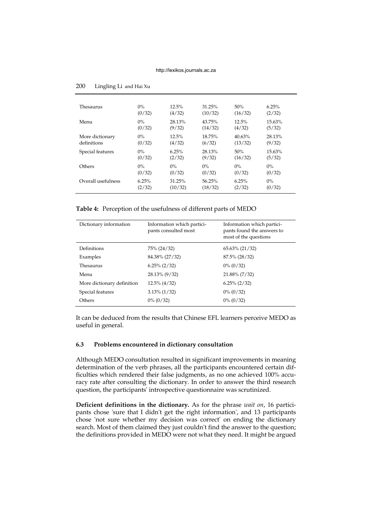| Thesaurus          | $0\%$  | 12.5%   | 31.25%  | 50%     | 6.25%     |
|--------------------|--------|---------|---------|---------|-----------|
|                    | (0/32) | (4/32)  | (10/32) | (16/32) | (2/32)    |
| Menu               | $0\%$  | 28.13%  | 43.75%  | 12.5%   | $15.63\%$ |
|                    | (0/32) | (9/32)  | (14/32) | (4/32)  | (5/32)    |
| More dictionary    | $0\%$  | 12.5%   | 18.75%  | 40.63%  | 28.13%    |
| definitions        | (0/32) | (4/32)  | (6/32)  | (13/32) | (9/32)    |
| Special features   | $0\%$  | 6.25%   | 28.13%  | 50%     | $15.63\%$ |
|                    | (0/32) | (2/32)  | (9/32)  | (16/32) | (5/32)    |
| Others             | $0\%$  | $0\%$   | $0\%$   | $0\%$   | $0\%$     |
|                    | (0/32) | (0/32)  | (0/32)  | (0/32)  | (0/32)    |
| Overall usefulness | 6.25%  | 31.25%  | 56.25%  | 6.25%   | $0\%$     |
|                    | (2/32) | (10/32) | (18/32) | (2/32)  | (0/32)    |

**Table 4:** Perception of the usefulness of different parts of MEDO

| Dictionary information     | Information which partici-<br>pants consulted most | Information which partici-<br>pants found the answers to<br>most of the questions |
|----------------------------|----------------------------------------------------|-----------------------------------------------------------------------------------|
| Definitions                | 75% (24/32)                                        | 65.63% (21/32)                                                                    |
| Examples                   | 84.38% (27/32)                                     | 87.5% (28/32)                                                                     |
| Thesaurus                  | $6.25\% (2/32)$                                    | $0\% (0/32)$                                                                      |
| Menu                       | 28.13% (9/32)                                      | 21.88% (7/32)                                                                     |
| More dictionary definition | $12.5\% (4/32)$                                    | $6.25\% (2/32)$                                                                   |
| Special features           | $3.13\%$ (1/32)                                    | $0\% (0/32)$                                                                      |
| Others                     | $0\%$ (0/32)                                       | $0\% (0/32)$                                                                      |

It can be deduced from the results that Chinese EFL learners perceive MEDO as useful in general.

## **6.3 Problems encountered in dictionary consultation**

Although MEDO consultation resulted in significant improvements in meaning determination of the verb phrases, all the participants encountered certain difficulties which rendered their false judgments, as no one achieved 100% accuracy rate after consulting the dictionary. In order to answer the third research question, the participants' introspective questionnaire was scrutinized.

**Deficient definitions in the dictionary.** As for the phrase *wait on*, 16 participants chose 'sure that I didn't get the right information', and 13 participants chose 'not sure whether my decision was correct' on ending the dictionary search. Most of them claimed they just couldn't find the answer to the question; the definitions provided in MEDO were not what they need. It might be argued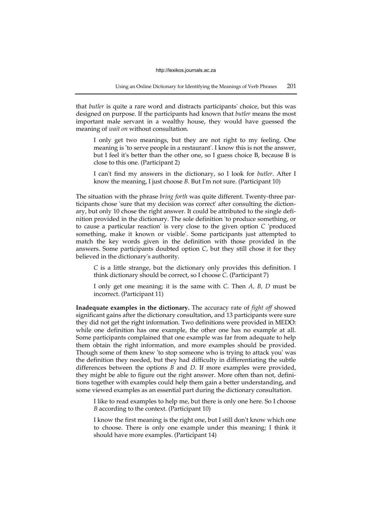that *butler* is quite a rare word and distracts participants' choice, but this was designed on purpose. If the participants had known that *butler* means the most important male servant in a wealthy house, they would have guessed the meaning of *wait on* without consultation.

I only get two meanings, but they are not right to my feeling. One meaning is ['to](http://www.macmillandictionary.com/search/british/direct/?q=to) [serve](http://www.macmillandictionary.com/search/british/direct/?q=serve) [people](http://www.macmillandictionary.com/search/british/direct/?q=people) [in](http://www.macmillandictionary.com/search/british/direct/?q=in) [a](http://www.macmillandictionary.com/search/british/direct/?q=a) [restaurant'.](http://www.macmillandictionary.com/search/british/direct/?q=restaurant) I know this is not the answer, but I feel it's better than the other one, so I guess choice B, because B is close to this one. (Participant 2)

I can't find my answers in the dictionary, so I look for *butler*. After I know the meaning, I just choose *B*. But I'm not sure. (Participant 10)

The situation with the phrase *bring forth* was quite different. Twenty-three participants chose 'sure that my decision was correct' after consulting the dictionary, but only 10 chose the right answer. It could be attributed to the single definition provided in the dictionary. The sole definition ['to](http://www.macmillandictionary.com/search/british/direct/?q=to) [produce](http://www.macmillandictionary.com/search/british/direct/?q=produce) [something,](http://www.macmillandictionary.com/search/british/direct/?q=something) [or](http://www.macmillandictionary.com/search/british/direct/?q=or) [to](http://www.macmillandictionary.com/search/british/direct/?q=to) [cause](http://www.macmillandictionary.com/search/british/direct/?q=cause) [a](http://www.macmillandictionary.com/search/british/direct/?q=a) [particular](http://www.macmillandictionary.com/search/british/direct/?q=particular) [reaction'](http://www.macmillandictionary.com/search/british/direct/?q=reaction) is very close to the given option *C* 'produced something, make it known or visible'. Some participants just attempted to match the key words given in the definition with those provided in the answers. Some participants doubted option *C*, but they still chose it for they believed in the dictionary's authority.

*C* is a little strange, but the dictionary only provides this definition. I think dictionary should be correct, so I choose *C*. (Participant 7)

I only get one meaning; it is the same with *C*. Then *A, B, D* must be incorrect. (Participant 11)

**Inadequate examples in the dictionary.** The accuracy rate of *fight off* showed significant gains after the dictionary consultation, and 13 participants were sure they did not get the right information. Two definitions were provided in MEDO: while one definition has one example, the other one has no example at all. Some participants complained that one example was far from adequate to help them obtain the right information, and more examples should be provided. Though some of them knew ['to](http://www.macmillandictionary.com/search/british/direct/?q=to) [stop](http://www.macmillandictionary.com/search/british/direct/?q=stop) someone [who](http://www.macmillandictionary.com/search/british/direct/?q=who) [is](http://www.macmillandictionary.com/search/british/direct/?q=is) [trying](http://www.macmillandictionary.com/search/british/direct/?q=trying) [to](http://www.macmillandictionary.com/search/british/direct/?q=to) [attack](http://www.macmillandictionary.com/search/british/direct/?q=attack) [you'](http://www.macmillandictionary.com/search/british/direct/?q=you) was the definition they needed, but they had difficulty in differentiating the subtle differences between the options *B* and *D*. If more examples were provided, they might be able to figure out the right answer. More often than not, definitions together with examples could help them gain a better understanding, and some viewed examples as an essential part during the dictionary consultation.

I like to read examples to help me, but there is only one here. So I choose *B* according to the context. (Participant 10)

I know the first meaning is the right one, but I still don't know which one to choose. There is only one example under this meaning; I think it should have more examples. (Participant 14)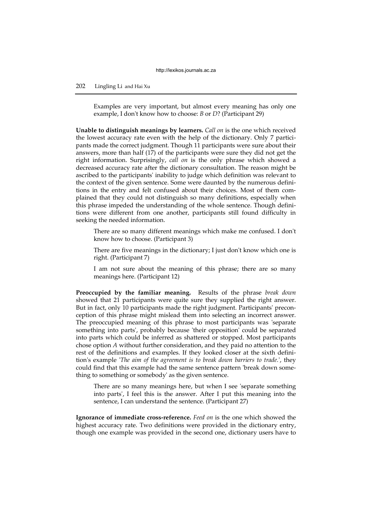# 202 Lingling Li and Hai Xu

Examples are very important, but almost every meaning has only one example, I don't know how to choose: *B* or *D*? (Participant 29)

**Unable to distinguish meanings by learners.** *Call on* is the one which received the lowest accuracy rate even with the help of the dictionary. Only 7 participants made the correct judgment. Though 11 participants were sure about their answers, more than half (17) of the participants were sure they did not get the right information. Surprisingly, *call on* is the only phrase which showed a decreased accuracy rate after the dictionary consultation. The reason might be ascribed to the participants' inability to judge which definition was relevant to the context of the given sentence. Some were daunted by the numerous definitions in the entry and felt confused about their choices. Most of them complained that they could not distinguish so many definitions, especially when this phrase impeded the understanding of the whole sentence. Though definitions were different from one another, participants still found difficulty in seeking the needed information.

There are so many different meanings which make me confused. I don't know how to choose. (Participant 3)

There are five meanings in the dictionary; I just don't know which one is right. (Participant 7)

I am not sure about the meaning of this phrase; there are so many meanings here. (Participant 12)

**Preoccupied by the familiar meaning.** Results of the phrase *break down* showed that 21 participants were quite sure they supplied the right answer. But in fact, only 10 participants made the right judgment. Participants' preconception of this phrase might mislead them into selecting an incorrect answer. The preoccupied meaning of this phrase to most participants was 'separate something into parts', probably because 'their opposition' could be separated into parts which could be inferred as shattered or stopped. Most participants chose option *A* without further consideration, and they paid no attention to the rest of the definitions and examples. If they looked closer at the sixth definition's example '*The aim of the agreement is to break down barriers to trade.*', they could find that this example had the same sentence pattern 'break down something to something or somebody' as the given sentence.

There are so many meanings here, but when I see 'separate something into parts', I feel this is the answer. After I put this meaning into the sentence, I can understand the sentence. (Participant 27)

**Ignorance of immediate cross-reference.** *Feed on* is the one which showed the highest accuracy rate. Two definitions were provided in the dictionary entry, though one example was provided in the second one, dictionary users have to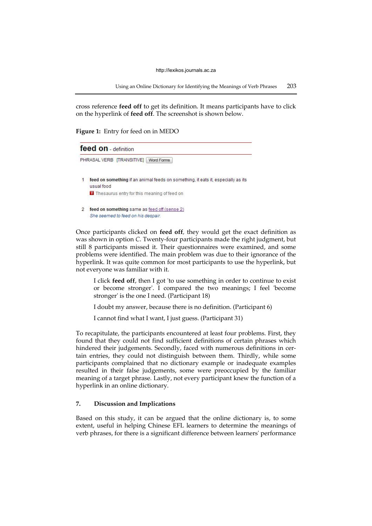Using an Online Dictionary for Identifying the Meanings of Verb Phrases 203

cross reference **feed off** to get its definition. It means participants have to click on the hyperlink of **feed off**. The screenshot is shown below.

**Figure 1:** Entry for feed on in MEDO



Once participants clicked on **feed off***,* they would get the exact definition as was shown in option *C*. Twenty-four participants made the right judgment, but still 8 participants missed it. Their questionnaires were examined, and some problems were identified. The main problem was due to their ignorance of the hyperlink. It was quite common for most participants to use the hyperlink, but not everyone was familiar with it.

I click **feed off**, then I got ['to](http://www.macmillandictionary.com/search/british/direct/?q=to) [use](http://www.macmillandictionary.com/search/british/direct/?q=use) something [in](http://www.macmillandictionary.com/search/british/direct/?q=in) [order](http://www.macmillandictionary.com/search/british/direct/?q=order) [to](http://www.macmillandictionary.com/search/british/direct/?q=to) [continue](http://www.macmillandictionary.com/search/british/direct/?q=continue) [to](http://www.macmillandictionary.com/search/british/direct/?q=to) [exist](http://www.macmillandictionary.com/search/british/direct/?q=exist) [or](http://www.macmillandictionary.com/search/british/direct/?q=or) [become](http://www.macmillandictionary.com/search/british/direct/?q=become) [stronger'](http://www.macmillandictionary.com/search/british/direct/?q=stronger). I compared the two meanings; I feel 'become stronger' is the one I need. (Participant 18)

I doubt my answer, because there is no definition. (Participant 6)

I cannot find what I want, I just guess. (Participant 31)

To recapitulate, the participants encountered at least four problems. First, they found that they could not find sufficient definitions of certain phrases which hindered their judgements. Secondly, faced with numerous definitions in certain entries, they could not distinguish between them. Thirdly, while some participants complained that no dictionary example or inadequate examples resulted in their false judgements, some were preoccupied by the familiar meaning of a target phrase. Lastly, not every participant knew the function of a hyperlink in an online dictionary.

## **7. Discussion and Implications**

Based on this study, it can be argued that the online dictionary is, to some extent, useful in helping Chinese EFL learners to determine the meanings of verb phrases, for there is a significant difference between learners' performance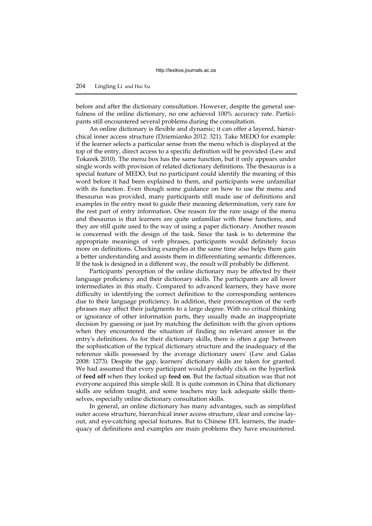before and after the dictionary consultation. However, despite the general usefulness of the online dictionary, no one achieved 100% accuracy rate. Participants still encountered several problems during the consultation.

An online dictionary is flexible and dynamic; it can offer a layered, hierarchical inner access structure (Dziemianko 2012: 321). Take MEDO for example: if the learner selects a particular sense from the menu which is displayed at the top of the entry, direct access to a specific definition will be provided (Lew and Tokarek 2010). The menu box has the same function, but it only appears under single words with provision of related dictionary definitions. The thesaurus is a special feature of MEDO, but no participant could identify the meaning of this word before it had been explained to them, and participants were unfamiliar with its function. Even though some guidance on how to use the menu and thesaurus was provided, many participants still made use of definitions and examples in the entry most to guide their meaning determination, very rare for the rest part of entry information. One reason for the rare usage of the menu and thesaurus is that learners are quite unfamiliar with these functions, and they are still quite used to the way of using a paper dictionary. Another reason is concerned with the design of the task. Since the task is to determine the appropriate meanings of verb phrases, participants would definitely focus more on definitions. Checking examples at the same time also helps them gain a better understanding and assists them in differentiating semantic differences. If the task is designed in a different way, the result will probably be different.

Participants' perception of the online dictionary may be affected by their language proficiency and their dictionary skills. The participants are all lower intermediates in this study. Compared to advanced learners, they have more difficulty in identifying the correct definition to the corresponding sentences due to their language proficiency. In addition, their preconception of the verb phrases may affect their judgments to a large degree. With no critical thinking or ignorance of other information parts, they usually made an inappropriate decision by guessing or just by matching the definition with the given options when they encountered the situation of finding no relevant answer in the entry's definitions. As for their dictionary skills, there is often a gap 'between the sophistication of the typical dictionary structure and the inadequacy of the reference skills possessed by the average dictionary users' (Lew and Galas 2008: 1273). Despite the gap, learners' dictionary skills are taken for granted. We had assumed that every participant would probably click on the hyperlink of **feed off** when they looked up **feed on**. But the factual situation was that not everyone acquired this simple skill. It is quite common in China that dictionary skills are seldom taught, and some teachers may lack adequate skills themselves, especially online dictionary consultation skills.

In general, an online dictionary has many advantages, such as simplified outer access structure, hierarchical inner access structure, clear and concise layout, and eye-catching special features. But to Chinese EFL learners, the inadequacy of definitions and examples are main problems they have encountered.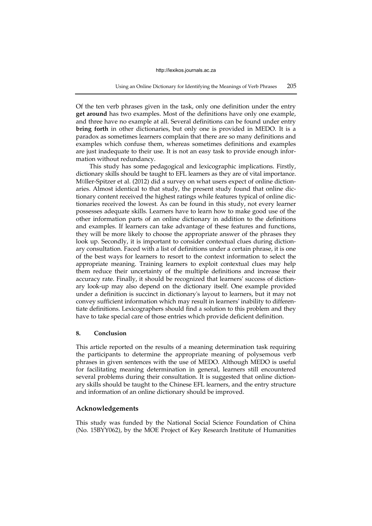Of the ten verb phrases given in the task, only one definition under the entry **get around** has two examples. Most of the definitions have only one example, and three have no example at all. Several definitions can be found under entry **bring forth** in other dictionaries, but only one is provided in MEDO. It is a paradox as sometimes learners complain that there are so many definitions and examples which confuse them, whereas sometimes definitions and examples are just inadequate to their use. It is not an easy task to provide enough information without redundancy.

This study has some pedagogical and lexicographic implications. Firstly, dictionary skills should be taught to EFL learners as they are of vital importance. Müller-Spitzer et al. (2012) did a survey on what users expect of online dictionaries. Almost identical to that study, the present study found that online dictionary content received the highest ratings while features typical of online dictionaries received the lowest. As can be found in this study, not every learner possesses adequate skills. Learners have to learn how to make good use of the other information parts of an online dictionary in addition to the definitions and examples. If learners can take advantage of these features and functions, they will be more likely to choose the appropriate answer of the phrases they look up. Secondly, it is important to consider contextual clues during dictionary consultation. Faced with a list of definitions under a certain phrase, it is one of the best ways for learners to resort to the context information to select the appropriate meaning. Training learners to exploit contextual clues may help them reduce their uncertainty of the multiple definitions and increase their accuracy rate. Finally, it should be recognized that learners' success of dictionary look-up may also depend on the dictionary itself. One example provided under a definition is succinct in dictionary's layout to learners, but it may not convey sufficient information which may result in learners' inability to differentiate definitions. Lexicographers should find a solution to this problem and they have to take special care of those entries which provide deficient definition.

## **8. Conclusion**

This article reported on the results of a meaning determination task requiring the participants to determine the appropriate meaning of polysemous verb phrases in given sentences with the use of MEDO. Although MEDO is useful for facilitating meaning determination in general, learners still encountered several problems during their consultation. It is suggested that online dictionary skills should be taught to the Chinese EFL learners, and the entry structure and information of an online dictionary should be improved.

## **Acknowledgements**

This study was funded by the National Social Science Foundation of China (No. 15BYY062), by the MOE Project of Key Research Institute of Humanities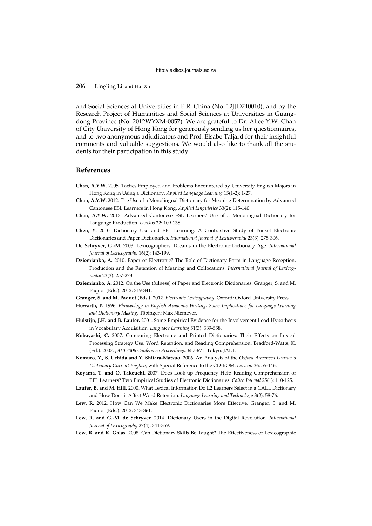and Social Sciences at Universities in P.R. China (No. 12JJD740010), and by the Research Project of Humanities and Social Sciences at Universities in Guangdong Province (No. 2012WYXM-0057). We are grateful to Dr. Alice Y.W. Chan of City University of Hong Kong for generously sending us her questionnaires, and to two anonymous adjudicators and Prof. Elsabe Taljard for their insightful comments and valuable suggestions. We would also like to thank all the students for their participation in this study.

## **References**

- **Chan, A.Y.W.** 2005. Tactics Employed and Problems Encountered by University English Majors in Hong Kong in Using a Dictionary. *Applied Language Learning* 15(1-2): 1-27.
- **Chan, A.Y.W.** 2012. The Use of a Monolingual Dictionary for Meaning Determination by Advanced Cantonese ESL Learners in Hong Kong. *Applied Linguistics* 33(2): 115-140.
- **Chan, A.Y.W.** 2013. Advanced Cantonese ESL Learners' Use of a Monolingual Dictionary for Language Production. *Lexikos* 22: 109-138.
- **Chen, Y.** 2010. Dictionary Use and EFL Learning. A Contrastive Study of Pocket Electronic Dictionaries and Paper Dictionaries. *International Journal of Lexicography* 23(3): 275-306.
- **De Schryver, G.-M.** 2003. Lexicographers' Dreams in the Electronic-Dictionary Age. *International Journal of Lexicography* 16(2): 143-199.
- **Dziemianko, A.** 2010. Paper or Electronic? The Role of Dictionary Form in Language Reception, Production and the Retention of Meaning and Collocations. *International Journal of Lexicography* 23(3): 257-273.
- **Dziemianko, A.** 2012. On the Use (fulness) of Paper and Electronic Dictionaries. Granger, S. and M. Paquot (Eds.). 2012: 319-341.
- **Granger, S. and M. Paquot (Eds.).** 2012. *Electronic Lexicography*. Oxford: Oxford University Press.
- **Howarth, P.** 1996. *Phraseology in English Academic Writing: Some Implications for Language Learning and Dictionary Making.* Tübingen: Max Niemeyer.
- **Hulstijn, J.H. and B. Laufer.** 2001. Some Empirical Evidence for the Involvement Load Hypothesis in Vocabulary Acquisition. *Language Learning* 51(3): 539-558.
- **Kobayashi, C.** 2007. Comparing Electronic and Printed Dictionaries: Their Effects on Lexical Processing Strategy Use, Word Retention, and Reading Comprehension. Bradford-Watts, K. (Ed.). 2007. *JALT2006 Conference Proceedings*: 657-671. Tokyo: JALT.
- **Komuro, Y., S. Uchida and Y. Shitara-Matsuo.** 2006. An Analysis of the *Oxford Advanced Learner's Dictionary Current English*, with Special Reference to the CD-ROM. *Lexicon* 36: 55-146.
- **Koyama, T. and O. Takeuchi.** 2007. Does Look-up Frequency Help Reading Comprehension of EFL Learners? Two Empirical Studies of Electronic Dictionaries. *Calico Journal* 25(1): 110-125.
- <span id="page-15-0"></span>**Laufer, B. and M. Hill.** 2000. What Lexical Information Do L2 Learners Select in a CALL Dictionary and How Does it Affect Word Retention. *Language Learning and Technology* 3(2): 58-76.
- **Lew, R.** 2012. How Can We Make Electronic Dictionaries More Effective. Granger, S. and M. Paquot (Eds.). 2012: 343-361.
- <span id="page-15-1"></span>**Lew, R. and G.-M. de Schryver.** 2014. Dictionary Users in the Digital Revolution. *International Journal of Lexicography* 27(4): 341-359.
- **Lew, R. and K. Galas.** 2008. Can Dictionary Skills Be Taught? The Effectiveness of Lexicographic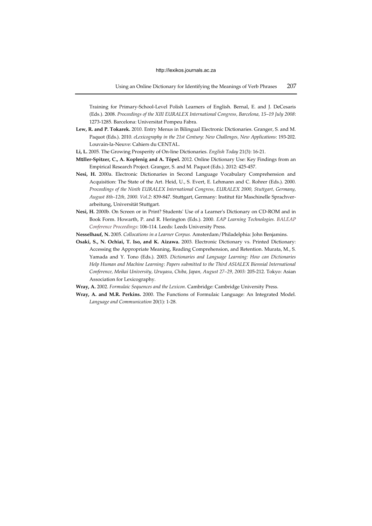Training for Primary-School-Level Polish Learners of English. Bernal, E. and J. DeCesaris (Eds.). 2008. *Proceedings of the XIII EURALEX International Congress, Barcelona, 15–19 July 2008*: 1273-1285. Barcelona: Universitat Pompeu Fabra.

**Lew, R. and P. Tokarek.** 2010. Entry Menus in Bilingual Electronic Dictionaries. Granger, S. and M. Paquot (Eds.). 2010. *eLexicography in the 21st Century: New Challenges, New Applications*: 193-202. Louvain-la-Neuve: Cahiers du CENTAL.

**Li, L.** 2005. The Growing Prosperity of On-line Dictionaries. *English Today* 21(3): 16-21.

- **M**ü**ller-Spitzer, C., A. Koplenig and A. Töpel.** 2012. Online Dictionary Use: Key Findings from an Empirical Research Project. Granger, S. and M. Paquot (Eds.). 2012: 425-457.
- **Nesi, H.** 2000a. Electronic Dictionaries in Second Language Vocabulary Comprehension and Acquisition: The State of the Art. Heid, U., S. Evert, E. Lehmann and C. Rohrer (Eds.). 2000. *Proceedings of the Ninth EURALEX International Congress, EURALEX 2000, Stuttgart, Germany, August 8th–12th, 2000. Vol.2*: 839-847. Stuttgart, Germany: Institut für Maschinelle Sprachverarbeitung, Universität Stuttgart.
- **Nesi, H.** 2000b. On Screen or in Print? Students' Use of a Learner's Dictionary on CD-ROM and in Book Form. Howarth, P. and R. Herington (Eds.). 2000. *EAP Learning Technologies. BALEAP Conference Proceedings*: 106-114. Leeds: Leeds University Press.
- **Nesselhauf, N.** 2005. *Collocations in a Learner Corpus.* Amsterdam/Philadelphia: John Benjamins.
- **Osaki, S., N. Ochiai, T. Iso, and K. Aizawa.** 2003. Electronic Dictionary vs. Printed Dictionary: Accessing the Appropriate Meaning, Reading Comprehension, and Retention. Murata, M., S. Yamada and Y. Tono (Eds.). 2003. *Dictionaries and Language Learning: How can Dictionaries Help Human and Machine Learning*: *Papers submitted to the Third ASIALEX Biennial International Conference, Meikai University, Uruyasu, Chiba, Japan, August 27–29, 2003:* 205-212. Tokyo: Asian Association for Lexicography.
- **Wray, A.** 2002. *Formulaic Sequences and the Lexicon*. Cambridge: Cambridge University Press.
- <span id="page-16-0"></span>**Wray, A. and M.R. Perkins.** 2000. The Functions of Formulaic Language: An Integrated Model. *Language and Communication* 20(1): 1-28.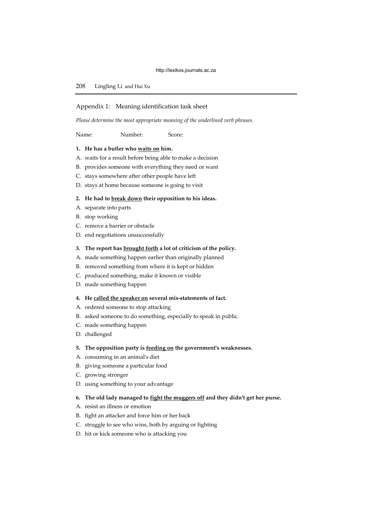# 208 Lingling Li and Hai Xu

#### Appendix 1: Meaning identification task sheet

*Please determine the most appropriate meaning of the underlined verb phrases.* 

Name: Number: Score:

#### **1. He has a butler who waits on him.**

- A. waits for a result before being able to make a decision
- B. provides someone with everything they need or want
- C. stays somewhere after other people have left
- D. stays at home because someone is going to visit

## **2. He had to break down their opposition to his ideas.**

- A. separate into parts
- B. stop working
- C. remove a barrier or obstacle
- D. end negotiations unsuccessfully

#### **3. The report has brought forth a lot of criticism of the policy.**

- A. made something happen earlier than originally planned
- B. removed something from where it is kept or hidden
- C. produced something, make it known or visible
- D. made something happen

#### **4. He called the speaker on several mis-statements of fact.**

- A. ordered someone to stop attacking
- B. asked someone to do something, especially to speak in public.
- C. made something happen
- D. challenged

## **5. The opposition party is feeding on the government's weaknesses.**

- A. consuming in an animal's diet
- B. giving someone a particular food
- C. growing stronger
- D. using something to your advantage

## **6. The old lady managed to fight the muggers off and they didn't get her purse.**

- A. resist an illness or emotion
- B. fight an attacker and force him or her back
- C. struggle to see who wins, both by arguing or fighting
- D. [hit](http://www.macmillandictionary.com/search/british/direct/?q=hit) [or](http://www.macmillandictionary.com/search/british/direct/?q=or) [kick](http://www.macmillandictionary.com/search/british/direct/?q=kick) [someone](http://www.macmillandictionary.com/search/british/direct/?q=someone) who [is](http://www.macmillandictionary.com/search/british/direct/?q=is) [attacking](http://www.macmillandictionary.com/search/british/direct/?q=attacking) [you](http://www.macmillandictionary.com/search/british/direct/?q=you)